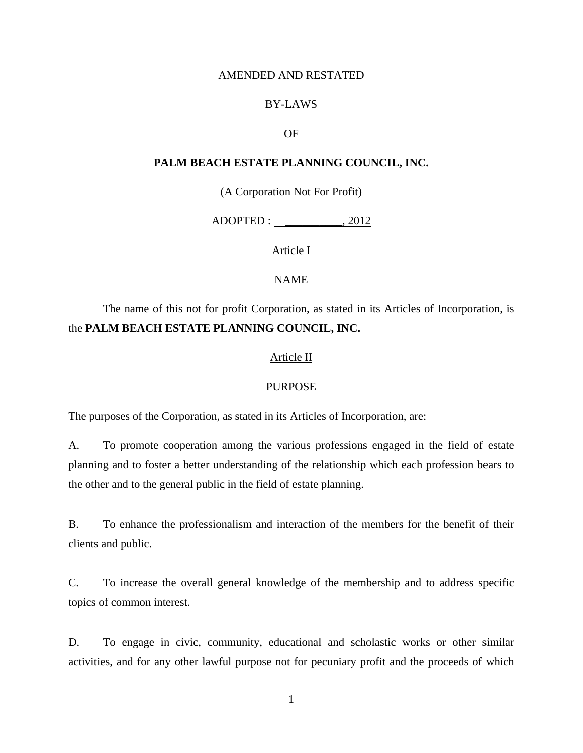## AMENDED AND RESTATED

## BY-LAWS

## OF

## **PALM BEACH ESTATE PLANNING COUNCIL, INC.**

(A Corporation Not For Profit)

ADOPTED : \_\_\_\_\_\_\_\_\_\_, 2012

Article I

## NAME

# The name of this not for profit Corporation, as stated in its Articles of Incorporation, is the **PALM BEACH ESTATE PLANNING COUNCIL, INC.**

## Article II

#### PURPOSE

The purposes of the Corporation, as stated in its Articles of Incorporation, are:

A. To promote cooperation among the various professions engaged in the field of estate planning and to foster a better understanding of the relationship which each profession bears to the other and to the general public in the field of estate planning.

B. To enhance the professionalism and interaction of the members for the benefit of their clients and public.

C. To increase the overall general knowledge of the membership and to address specific topics of common interest.

D. To engage in civic, community, educational and scholastic works or other similar activities, and for any other lawful purpose not for pecuniary profit and the proceeds of which

1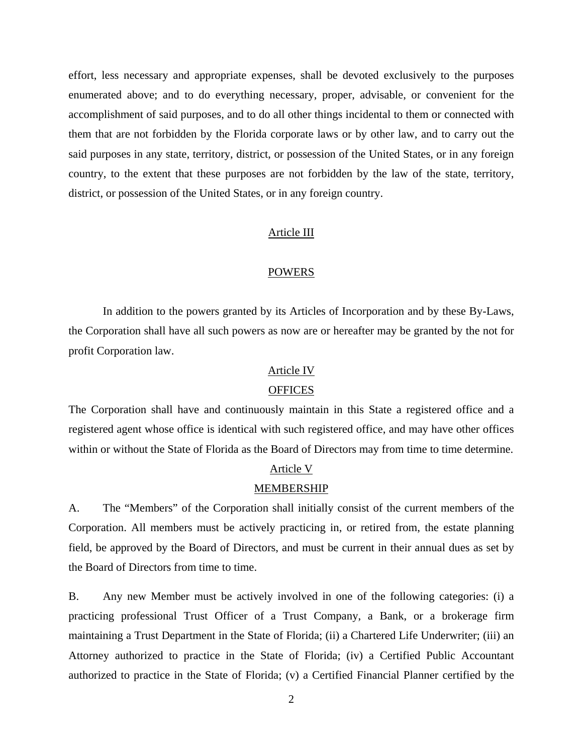effort, less necessary and appropriate expenses, shall be devoted exclusively to the purposes enumerated above; and to do everything necessary, proper, advisable, or convenient for the accomplishment of said purposes, and to do all other things incidental to them or connected with them that are not forbidden by the Florida corporate laws or by other law, and to carry out the said purposes in any state, territory, district, or possession of the United States, or in any foreign country, to the extent that these purposes are not forbidden by the law of the state, territory, district, or possession of the United States, or in any foreign country.

#### Article III

## POWERS

 In addition to the powers granted by its Articles of Incorporation and by these By-Laws, the Corporation shall have all such powers as now are or hereafter may be granted by the not for profit Corporation law.

## Article IV

#### **OFFICES**

The Corporation shall have and continuously maintain in this State a registered office and a registered agent whose office is identical with such registered office, and may have other offices within or without the State of Florida as the Board of Directors may from time to time determine.

#### Article V

## MEMBERSHIP

A. The "Members" of the Corporation shall initially consist of the current members of the Corporation. All members must be actively practicing in, or retired from, the estate planning field, be approved by the Board of Directors, and must be current in their annual dues as set by the Board of Directors from time to time.

B. Any new Member must be actively involved in one of the following categories: (i) a practicing professional Trust Officer of a Trust Company, a Bank, or a brokerage firm maintaining a Trust Department in the State of Florida; (ii) a Chartered Life Underwriter; (iii) an Attorney authorized to practice in the State of Florida; (iv) a Certified Public Accountant authorized to practice in the State of Florida; (v) a Certified Financial Planner certified by the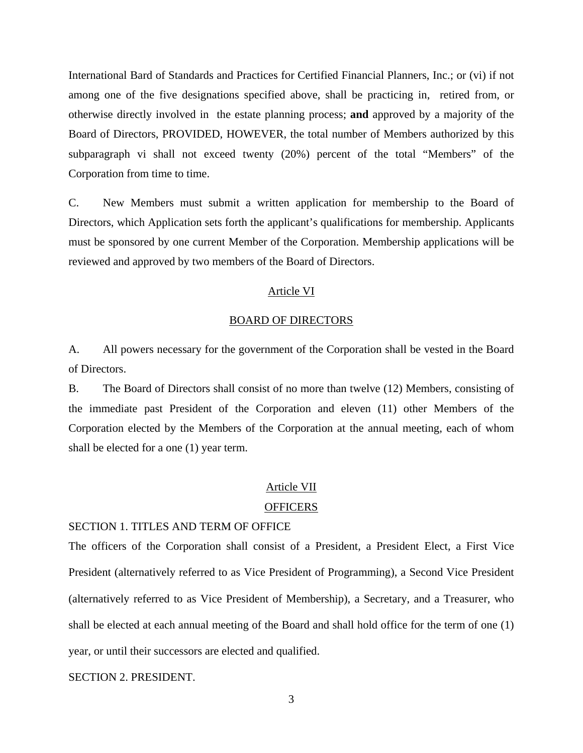International Bard of Standards and Practices for Certified Financial Planners, Inc.; or (vi) if not among one of the five designations specified above, shall be practicing in, retired from, or otherwise directly involved in the estate planning process; **and** approved by a majority of the Board of Directors, PROVIDED, HOWEVER, the total number of Members authorized by this subparagraph vi shall not exceed twenty (20%) percent of the total "Members" of the Corporation from time to time.

C. New Members must submit a written application for membership to the Board of Directors, which Application sets forth the applicant's qualifications for membership. Applicants must be sponsored by one current Member of the Corporation. Membership applications will be reviewed and approved by two members of the Board of Directors.

#### Article VI

## BOARD OF DIRECTORS

A. All powers necessary for the government of the Corporation shall be vested in the Board of Directors.

B. The Board of Directors shall consist of no more than twelve (12) Members, consisting of the immediate past President of the Corporation and eleven (11) other Members of the Corporation elected by the Members of the Corporation at the annual meeting, each of whom shall be elected for a one (1) year term.

## Article VII

#### **OFFICERS**

## SECTION 1. TITLES AND TERM OF OFFICE

The officers of the Corporation shall consist of a President, a President Elect, a First Vice President (alternatively referred to as Vice President of Programming), a Second Vice President (alternatively referred to as Vice President of Membership), a Secretary, and a Treasurer, who shall be elected at each annual meeting of the Board and shall hold office for the term of one (1) year, or until their successors are elected and qualified.

## SECTION 2. PRESIDENT.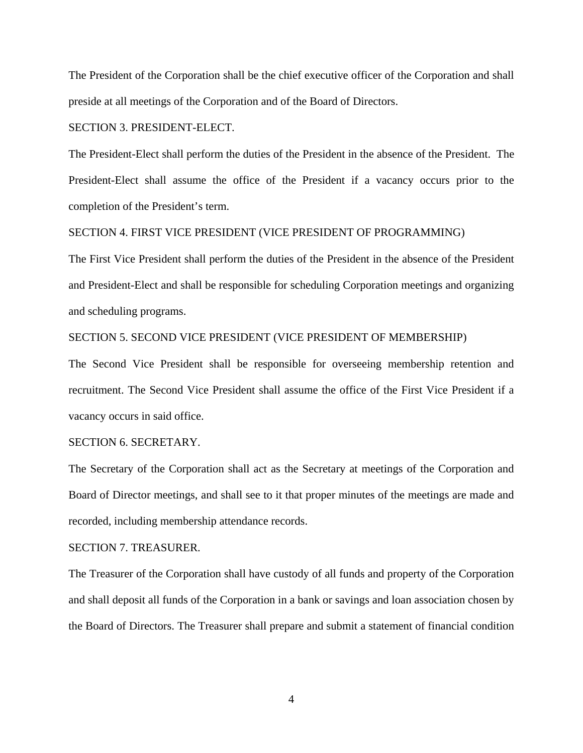The President of the Corporation shall be the chief executive officer of the Corporation and shall preside at all meetings of the Corporation and of the Board of Directors.

#### SECTION 3. PRESIDENT-ELECT.

The President-Elect shall perform the duties of the President in the absence of the President. The President-Elect shall assume the office of the President if a vacancy occurs prior to the completion of the President's term.

## SECTION 4. FIRST VICE PRESIDENT (VICE PRESIDENT OF PROGRAMMING)

The First Vice President shall perform the duties of the President in the absence of the President and President-Elect and shall be responsible for scheduling Corporation meetings and organizing and scheduling programs.

#### SECTION 5. SECOND VICE PRESIDENT (VICE PRESIDENT OF MEMBERSHIP)

The Second Vice President shall be responsible for overseeing membership retention and recruitment. The Second Vice President shall assume the office of the First Vice President if a vacancy occurs in said office.

## SECTION 6. SECRETARY.

The Secretary of the Corporation shall act as the Secretary at meetings of the Corporation and Board of Director meetings, and shall see to it that proper minutes of the meetings are made and recorded, including membership attendance records.

#### SECTION 7. TREASURER.

The Treasurer of the Corporation shall have custody of all funds and property of the Corporation and shall deposit all funds of the Corporation in a bank or savings and loan association chosen by the Board of Directors. The Treasurer shall prepare and submit a statement of financial condition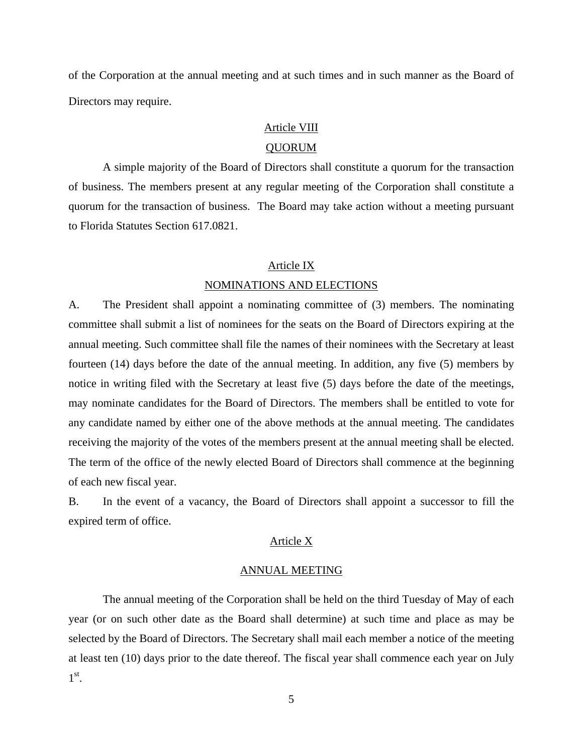of the Corporation at the annual meeting and at such times and in such manner as the Board of Directors may require.

## Article VIII

## QUORUM

 A simple majority of the Board of Directors shall constitute a quorum for the transaction of business. The members present at any regular meeting of the Corporation shall constitute a quorum for the transaction of business. The Board may take action without a meeting pursuant to Florida Statutes Section 617.0821.

## Article IX NOMINATIONS AND ELECTIONS

A. The President shall appoint a nominating committee of (3) members. The nominating committee shall submit a list of nominees for the seats on the Board of Directors expiring at the annual meeting. Such committee shall file the names of their nominees with the Secretary at least fourteen (14) days before the date of the annual meeting. In addition, any five (5) members by notice in writing filed with the Secretary at least five (5) days before the date of the meetings, may nominate candidates for the Board of Directors. The members shall be entitled to vote for any candidate named by either one of the above methods at the annual meeting. The candidates receiving the majority of the votes of the members present at the annual meeting shall be elected. The term of the office of the newly elected Board of Directors shall commence at the beginning of each new fiscal year.

B. In the event of a vacancy, the Board of Directors shall appoint a successor to fill the expired term of office.

## Article X

### ANNUAL MEETING

 The annual meeting of the Corporation shall be held on the third Tuesday of May of each year (or on such other date as the Board shall determine) at such time and place as may be selected by the Board of Directors. The Secretary shall mail each member a notice of the meeting at least ten (10) days prior to the date thereof. The fiscal year shall commence each year on July  $1^\text{st}$ .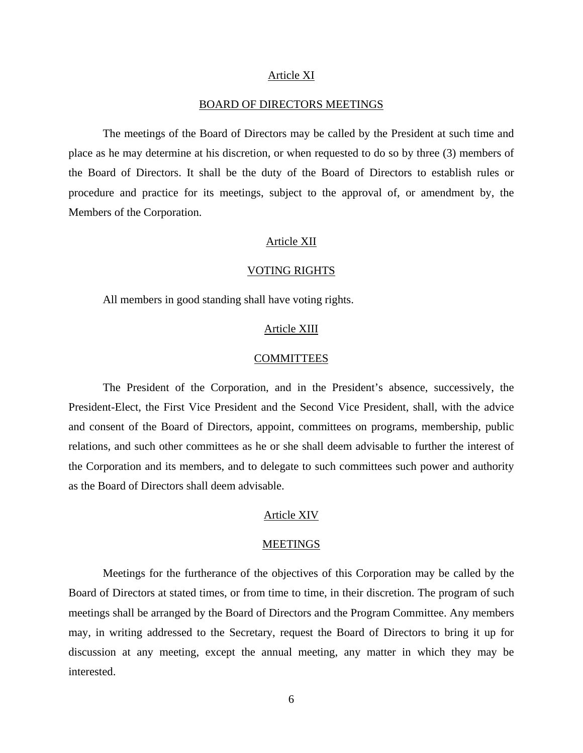#### Article XI

## BOARD OF DIRECTORS MEETINGS

 The meetings of the Board of Directors may be called by the President at such time and place as he may determine at his discretion, or when requested to do so by three (3) members of the Board of Directors. It shall be the duty of the Board of Directors to establish rules or procedure and practice for its meetings, subject to the approval of, or amendment by, the Members of the Corporation.

#### Article XII

#### VOTING RIGHTS

All members in good standing shall have voting rights.

## Article XIII

#### **COMMITTEES**

 The President of the Corporation, and in the President's absence, successively, the President-Elect, the First Vice President and the Second Vice President, shall, with the advice and consent of the Board of Directors, appoint, committees on programs, membership, public relations, and such other committees as he or she shall deem advisable to further the interest of the Corporation and its members, and to delegate to such committees such power and authority as the Board of Directors shall deem advisable.

#### Article XIV

#### MEETINGS

 Meetings for the furtherance of the objectives of this Corporation may be called by the Board of Directors at stated times, or from time to time, in their discretion. The program of such meetings shall be arranged by the Board of Directors and the Program Committee. Any members may, in writing addressed to the Secretary, request the Board of Directors to bring it up for discussion at any meeting, except the annual meeting, any matter in which they may be interested.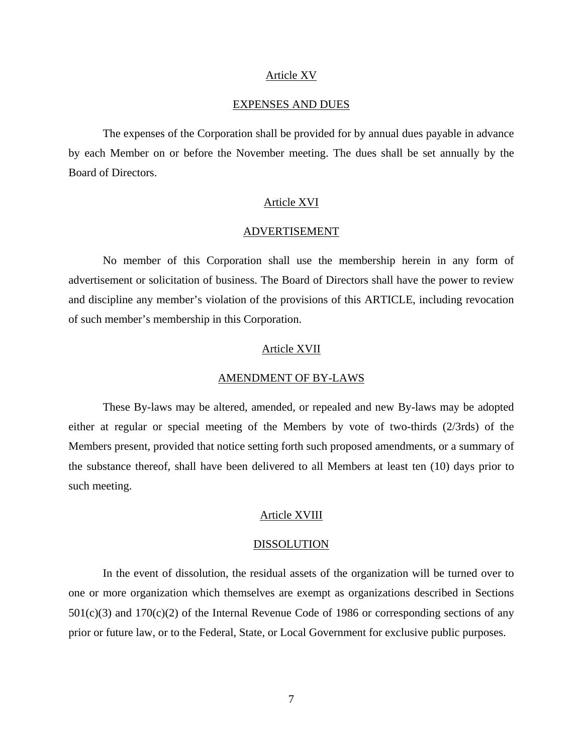#### Article XV

## EXPENSES AND DUES

 The expenses of the Corporation shall be provided for by annual dues payable in advance by each Member on or before the November meeting. The dues shall be set annually by the Board of Directors.

#### Article XVI

#### ADVERTISEMENT

 No member of this Corporation shall use the membership herein in any form of advertisement or solicitation of business. The Board of Directors shall have the power to review and discipline any member's violation of the provisions of this ARTICLE, including revocation of such member's membership in this Corporation.

#### Article XVII

#### AMENDMENT OF BY-LAWS

 These By-laws may be altered, amended, or repealed and new By-laws may be adopted either at regular or special meeting of the Members by vote of two-thirds (2/3rds) of the Members present, provided that notice setting forth such proposed amendments, or a summary of the substance thereof, shall have been delivered to all Members at least ten (10) days prior to such meeting.

#### Article XVIII

#### DISSOLUTION

 In the event of dissolution, the residual assets of the organization will be turned over to one or more organization which themselves are exempt as organizations described in Sections  $501(c)(3)$  and  $170(c)(2)$  of the Internal Revenue Code of 1986 or corresponding sections of any prior or future law, or to the Federal, State, or Local Government for exclusive public purposes.

7